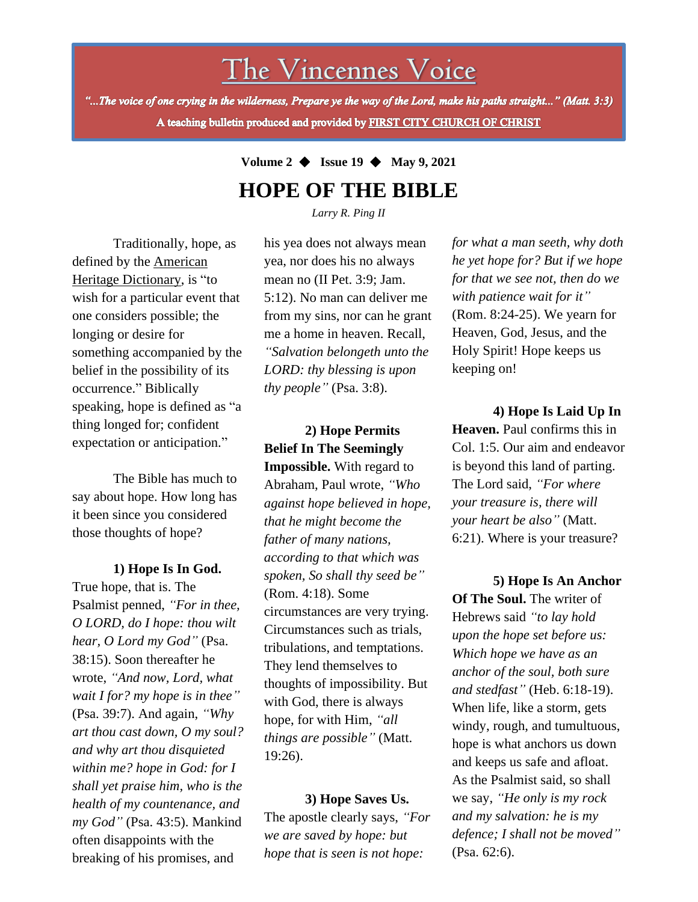# The Vincennes Voice

"...The voice of one crying in the wilderness, Prepare ye the way of the Lord, make his paths straight..." (Matt. 3:3) A teaching bulletin produced and provided by FIRST CITY CHURCH OF CHRIST

## **Volume 2** ◆ **Issue 19** ◆ **May 9, 2021 HOPE OF THE BIBLE**

*Larry R. Ping II*

Traditionally, hope, as defined by the American Heritage Dictionary, is "to wish for a particular event that one considers possible; the longing or desire for something accompanied by the belief in the possibility of its occurrence." Biblically speaking, hope is defined as "a thing longed for; confident expectation or anticipation."

The Bible has much to say about hope. How long has it been since you considered those thoughts of hope?

#### **1) Hope Is In God.**

*shall yet praise him, who is the* True hope, that is. The Psalmist penned, *"For in thee, O LORD, do I hope: thou wilt hear, O Lord my God"* (Psa. 38:15). Soon thereafter he wrote, *"And now, Lord, what wait I for? my hope is in thee"* (Psa. 39:7). And again, *"Why art thou cast down, O my soul? and why art thou disquieted within me? hope in God: for I health of my countenance, and my God"* (Psa. 43:5). Mankind often disappoints with the breaking of his promises, and

his yea does not always mean yea, nor does his no always mean no (II Pet. 3:9; Jam. 5:12). No man can deliver me from my sins, nor can he grant me a home in heaven. Recall, *"Salvation belongeth unto the LORD: thy blessing is upon thy people"* (Psa. 3:8).

**2) Hope Permits Belief In The Seemingly Impossible.** With regard to Abraham, Paul wrote, *"Who against hope believed in hope, that he might become the father of many nations, according to that which was spoken, So shall thy seed be"* (Rom. 4:18). Some circumstances are very trying. Circumstances such as trials, tribulations, and temptations. They lend themselves to thoughts of impossibility. But with God, there is always hope, for with Him, *"all things are possible"* (Matt. 19:26).

**3) Hope Saves Us.** The apostle clearly says, *"For we are saved by hope: but hope that is seen is not hope:*

*for what a man seeth, why doth he yet hope for? But if we hope for that we see not, then do we with patience wait for it"* (Rom. 8:24-25). We yearn for Heaven, God, Jesus, and the Holy Spirit! Hope keeps us keeping on!

**4) Hope Is Laid Up In Heaven.** Paul confirms this in Col. 1:5. Our aim and endeavor is beyond this land of parting. The Lord said, *"For where your treasure is, there will your heart be also"* (Matt. 6:21). Where is your treasure?

**5) Hope Is An Anchor Of The Soul.** The writer of Hebrews said *"to lay hold upon the hope set before us: Which hope we have as an anchor of the soul, both sure and stedfast"* (Heb. 6:18-19). When life, like a storm, gets windy, rough, and tumultuous, hope is what anchors us down and keeps us safe and afloat. As the Psalmist said, so shall we say, *"He only is my rock and my salvation: he is my defence; I shall not be moved"* (Psa. 62:6).